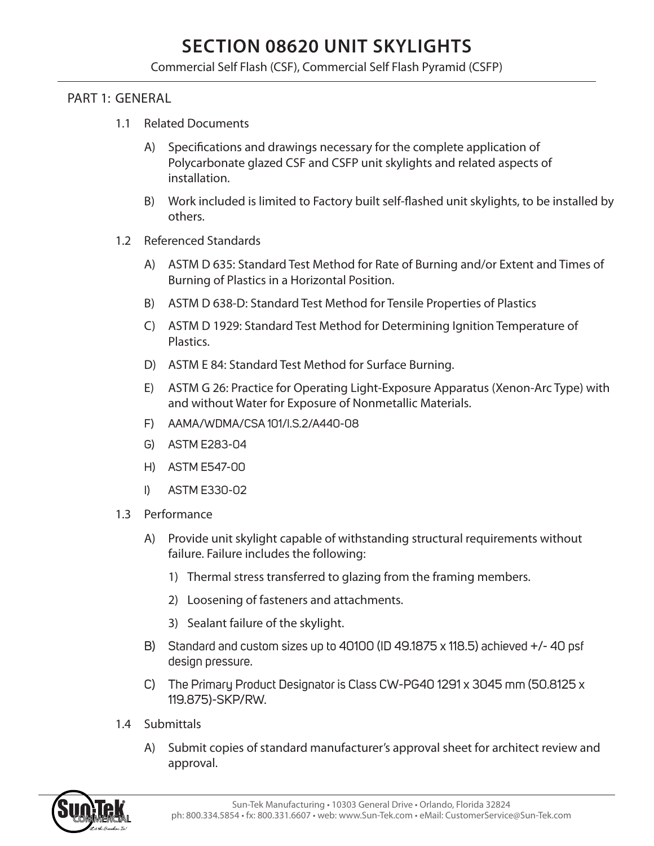# **SECTION 08620 UNIT SKYLIGHTS**

Commercial Self Flash (CSF), Commercial Self Flash Pyramid (CSFP)

#### PART 1: GENERAL

- 1.1 Related Documents
	- A) Specifications and drawings necessary for the complete application of Polycarbonate glazed CSF and CSFP unit skylights and related aspects of installation.
	- B) Work included is limited to Factory built self-flashed unit skylights, to be installed by others.
- 1.2 Referenced Standards
	- A) ASTM D 635: Standard Test Method for Rate of Burning and/or Extent and Times of Burning of Plastics in a Horizontal Position.
	- B) ASTM D 638-D: Standard Test Method for Tensile Properties of Plastics
	- C) ASTM D 1929: Standard Test Method for Determining Ignition Temperature of Plastics.
	- D) ASTM E 84: Standard Test Method for Surface Burning.
	- E) ASTM G 26: Practice for Operating Light-Exposure Apparatus (Xenon-Arc Type) with and without Water for Exposure of Nonmetallic Materials.
	- F) AAMA/WDMA/CSA 101/I.S.2/A440-08
	- G) ASTM E283-04
	- H) ASTM E547-00
	- I) ASTM E330-02
- 1.3 Performance
	- A) Provide unit skylight capable of withstanding structural requirements without failure. Failure includes the following:
		- 1) Thermal stress transferred to glazing from the framing members.
		- 2) Loosening of fasteners and attachments.
		- 3) Sealant failure of the skylight.
	- B) Standard and custom sizes up to 40100 (ID 49.1875 x 118.5) achieved +/- 40 psf design pressure.
	- C) The Primary Product Designator is Class CW-PG40 1291 x 3045 mm (50.8125 x 119.875)-SKP/RW.
- 1.4 Submittals
	- A) Submit copies of standard manufacturer's approval sheet for architect review and approval.

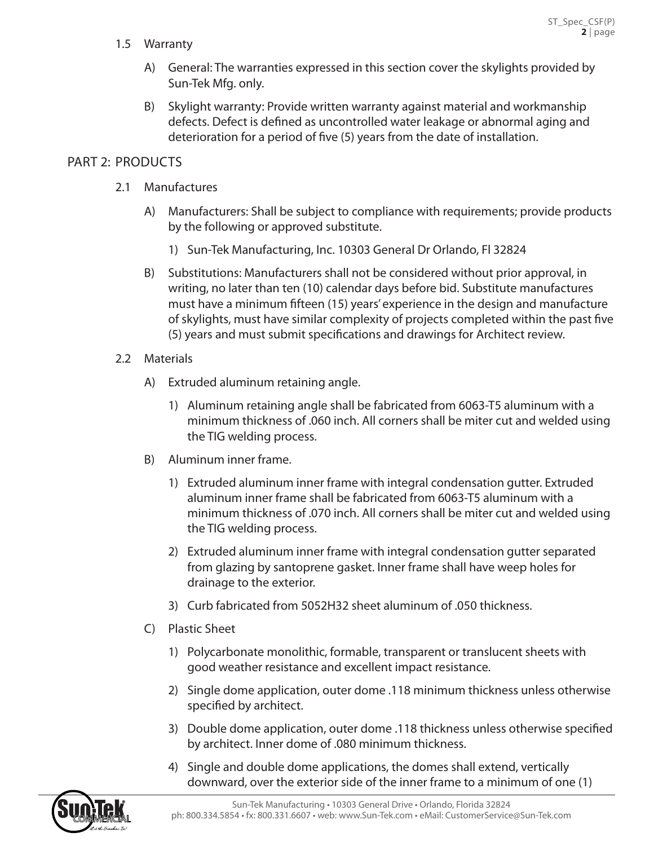1.5 Warranty

- A) General: The warranties expressed in this section cover the skylights provided by Sun-Tek Mfg. only.
- B) Skylight warranty: Provide written warranty against material and workmanship defects. Defect is defined as uncontrolled water leakage or abnormal aging and deterioration for a period of five (5) years from the date of installation.

### PART 2: PRODUCTS

- 2.1 Manufactures
	- A) Manufacturers: Shall be subject to compliance with requirements; provide products by the following or approved substitute.
		- 1) Sun-Tek Manufacturing, Inc. 10303 General Dr Orlando, Fl 32824
	- B) Substitutions: Manufacturers shall not be considered without prior approval, in writing, no later than ten (10) calendar days before bid. Substitute manufactures must have a minimum fifteen (15) years' experience in the design and manufacture of skylights, must have similar complexity of projects completed within the past five (5) years and must submit specifications and drawings for Architect review.
- 2.2 Materials
	- A) Extruded aluminum retaining angle.
		- 1) Aluminum retaining angle shall be fabricated from 6063-T5 aluminum with a minimum thickness of .060 inch. All corners shall be miter cut and welded using the TIG welding process.
	- B) Aluminum inner frame.
		- 1) Extruded aluminum inner frame with integral condensation gutter. Extruded aluminum inner frame shall be fabricated from 6063-T5 aluminum with a minimum thickness of .070 inch. All corners shall be miter cut and welded using the TIG welding process.
		- 2) Extruded aluminum inner frame with integral condensation gutter separated from glazing by santoprene gasket. Inner frame shall have weep holes for drainage to the exterior.
		- 3) Curb fabricated from 5052H32 sheet aluminum of .050 thickness.
	- C) Plastic Sheet
		- 1) Polycarbonate monolithic, formable, transparent or translucent sheets with good weather resistance and excellent impact resistance.
		- 2) Single dome application, outer dome .118 minimum thickness unless otherwise specified by architect.
		- 3) Double dome application, outer dome .118 thickness unless otherwise specified by architect. Inner dome of .080 minimum thickness.
		- 4) Single and double dome applications, the domes shall extend, vertically downward, over the exterior side of the inner frame to a minimum of one (1)

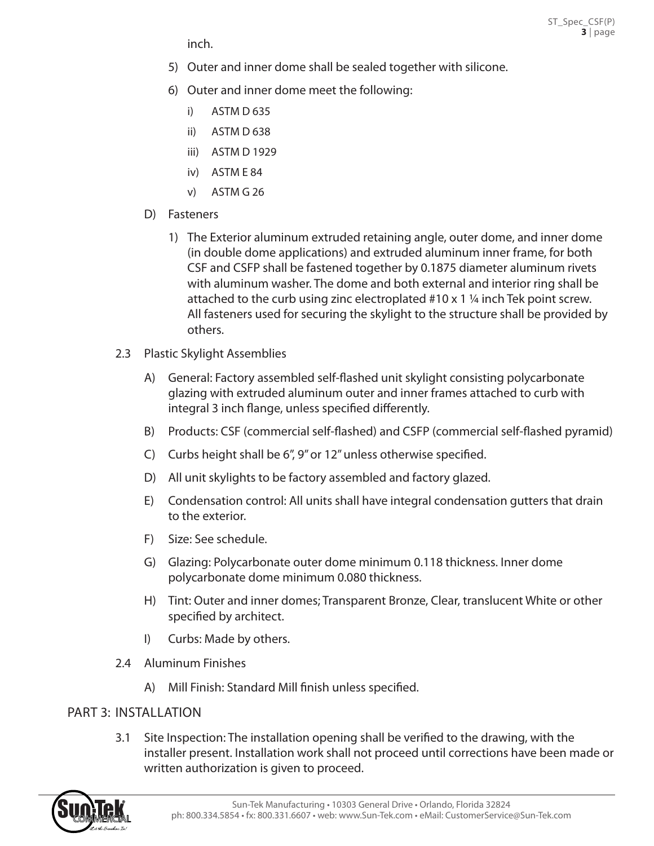inch.

- 5) Outer and inner dome shall be sealed together with silicone.
- 6) Outer and inner dome meet the following:
	- i) ASTM D 635
	- ii) ASTM D 638
	- iii) ASTM D 1929
	- iv) ASTM E 84
	- v) ASTM G 26
- D) Fasteners
	- 1) The Exterior aluminum extruded retaining angle, outer dome, and inner dome (in double dome applications) and extruded aluminum inner frame, for both CSF and CSFP shall be fastened together by 0.1875 diameter aluminum rivets with aluminum washer. The dome and both external and interior ring shall be attached to the curb using zinc electroplated #10 x 1 ¼ inch Tek point screw. All fasteners used for securing the skylight to the structure shall be provided by others.
- 2.3 Plastic Skylight Assemblies
	- A) General: Factory assembled self-flashed unit skylight consisting polycarbonate glazing with extruded aluminum outer and inner frames attached to curb with integral 3 inch flange, unless specified differently.
	- B) Products: CSF (commercial self-flashed) and CSFP (commercial self-flashed pyramid)
	- C) Curbs height shall be 6", 9" or 12" unless otherwise specified.
	- D) All unit skylights to be factory assembled and factory glazed.
	- E) Condensation control: All units shall have integral condensation gutters that drain to the exterior.
	- F) Size: See schedule.
	- G) Glazing: Polycarbonate outer dome minimum 0.118 thickness. Inner dome polycarbonate dome minimum 0.080 thickness.
	- H) Tint: Outer and inner domes; Transparent Bronze, Clear, translucent White or other specified by architect.
	- I) Curbs: Made by others.
- 2.4 Aluminum Finishes
	- A) Mill Finish: Standard Mill finish unless specified.

## PART 3: INSTALLATION

3.1 Site Inspection: The installation opening shall be verified to the drawing, with the installer present. Installation work shall not proceed until corrections have been made or written authorization is given to proceed.